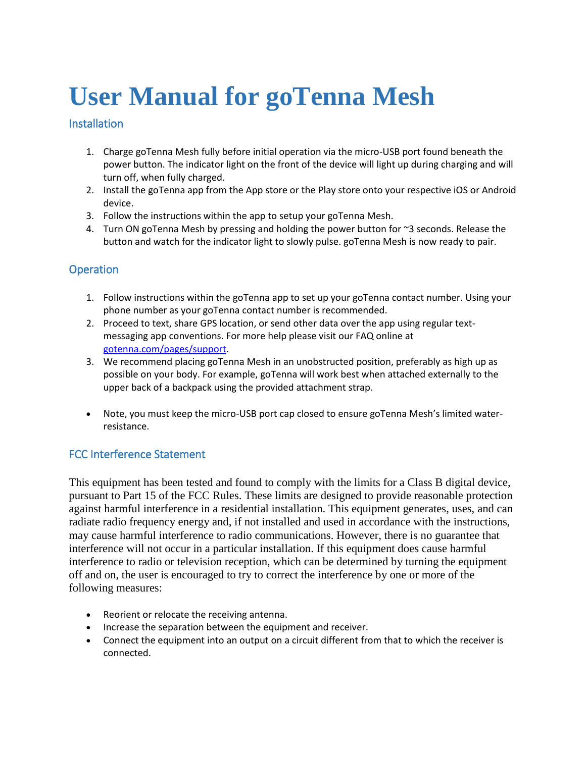# **User Manual for goTenna Mesh**

## **Installation**

- 1. Charge goTenna Mesh fully before initial operation via the micro-USB port found beneath the power button. The indicator light on the front of the device will light up during charging and will turn off, when fully charged.
- 2. Install the goTenna app from the App store or the Play store onto your respective iOS or Android device.
- 3. Follow the instructions within the app to setup your goTenna Mesh.
- 4. Turn ON goTenna Mesh by pressing and holding the power button for ~3 seconds. Release the button and watch for the indicator light to slowly pulse. goTenna Mesh is now ready to pair.

## **Operation**

- 1. Follow instructions within the goTenna app to set up your goTenna contact number. Using your phone number as your goTenna contact number is recommended.
- 2. Proceed to text, share GPS location, or send other data over the app using regular textmessaging app conventions. For more help please visit our FAQ online at [gotenna.com/pages/support.](http://www.gotenna.com/pages/support)
- 3. We recommend placing goTenna Mesh in an unobstructed position, preferably as high up as possible on your body. For example, goTenna will work best when attached externally to the upper back of a backpack using the provided attachment strap.
- Note, you must keep the micro-USB port cap closed to ensure goTenna Mesh's limited waterresistance.

## FCC Interference Statement

This equipment has been tested and found to comply with the limits for a Class B digital device, pursuant to Part 15 of the FCC Rules. These limits are designed to provide reasonable protection against harmful interference in a residential installation. This equipment generates, uses, and can radiate radio frequency energy and, if not installed and used in accordance with the instructions, may cause harmful interference to radio communications. However, there is no guarantee that interference will not occur in a particular installation. If this equipment does cause harmful interference to radio or television reception, which can be determined by turning the equipment off and on, the user is encouraged to try to correct the interference by one or more of the following measures:

- Reorient or relocate the receiving antenna.
- Increase the separation between the equipment and receiver.
- Connect the equipment into an output on a circuit different from that to which the receiver is connected.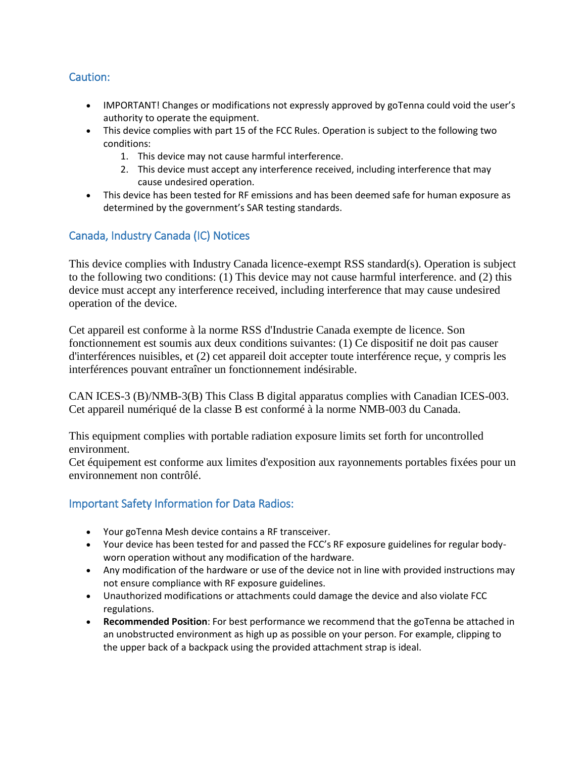## Caution:

- IMPORTANT! Changes or modifications not expressly approved by goTenna could void the user's authority to operate the equipment.
- This device complies with part 15 of the FCC Rules. Operation is subject to the following two conditions:
	- 1. This device may not cause harmful interference.
	- 2. This device must accept any interference received, including interference that may cause undesired operation.
- This device has been tested for RF emissions and has been deemed safe for human exposure as determined by the government's SAR testing standards.

## Canada, Industry Canada (IC) Notices

This device complies with Industry Canada licence-exempt RSS standard(s). Operation is subject to the following two conditions: (1) This device may not cause harmful interference. and (2) this device must accept any interference received, including interference that may cause undesired operation of the device.

Cet appareil est conforme à la norme RSS d'Industrie Canada exempte de licence. Son fonctionnement est soumis aux deux conditions suivantes: (1) Ce dispositif ne doit pas causer d'interférences nuisibles, et (2) cet appareil doit accepter toute interférence reçue, y compris les interférences pouvant entraîner un fonctionnement indésirable.

CAN ICES-3 (B)/NMB-3(B) This Class B digital apparatus complies with Canadian ICES-003. Cet appareil numériqué de la classe B est conformé à la norme NMB-003 du Canada.

This equipment complies with portable radiation exposure limits set forth for uncontrolled environment.

Cet équipement est conforme aux limites d'exposition aux rayonnements portables fixées pour un environnement non contrôlé.

## Important Safety Information for Data Radios:

- Your goTenna Mesh device contains a RF transceiver.
- Your device has been tested for and passed the FCC's RF exposure guidelines for regular bodyworn operation without any modification of the hardware.
- Any modification of the hardware or use of the device not in line with provided instructions may not ensure compliance with RF exposure guidelines.
- Unauthorized modifications or attachments could damage the device and also violate FCC regulations.
- **Recommended Position**: For best performance we recommend that the goTenna be attached in an unobstructed environment as high up as possible on your person. For example, clipping to the upper back of a backpack using the provided attachment strap is ideal.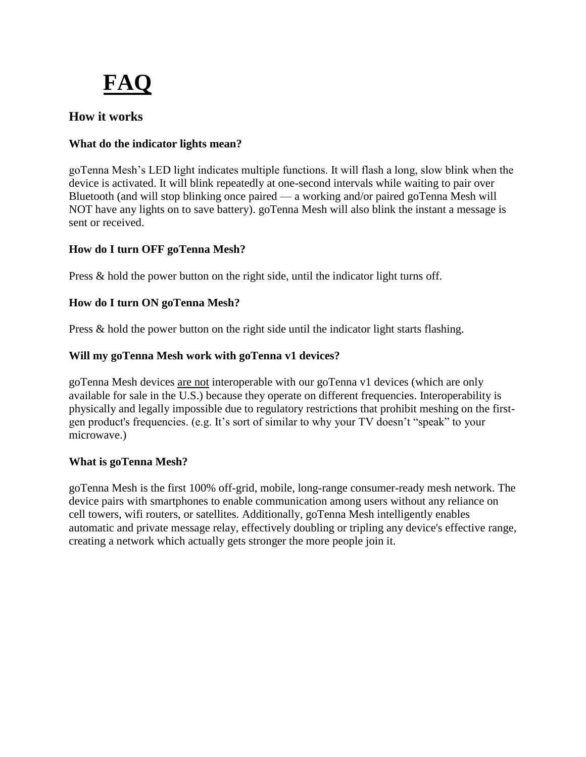

# **How it works**

## **What do the indicator lights mean?**

goTenna Mesh's LED light indicates multiple functions. It will flash a long, slow blink when the device is activated. It will blink repeatedly at one-second intervals while waiting to pair over Bluetooth (and will stop blinking once paired — a working and/or paired goTenna Mesh will NOT have any lights on to save battery). goTenna Mesh will also blink the instant a message is sent or received.

## **How do I turn OFF goTenna Mesh?**

Press & hold the power button on the right side, until the indicator light turns off.

## **How do I turn ON goTenna Mesh?**

Press & hold the power button on the right side until the indicator light starts flashing.

## **Will my goTenna Mesh work with goTenna v1 devices?**

goTenna Mesh devices are not interoperable with our goTenna v1 devices (which are only available for sale in the U.S.) because they operate on different frequencies. Interoperability is physically and legally impossible due to regulatory restrictions that prohibit meshing on the firstgen product's frequencies. (e.g. It's sort of similar to why your TV doesn't "speak" to your microwave.)

## **What is goTenna Mesh?**

goTenna Mesh is the first 100% off-grid, mobile, long-range consumer-ready mesh network. The device pairs with smartphones to enable communication among users without any reliance on cell towers, wifi routers, or satellites. Additionally, goTenna Mesh intelligently enables automatic and private message relay, effectively doubling or tripling any device's effective range, creating a network which actually gets stronger the more people join it.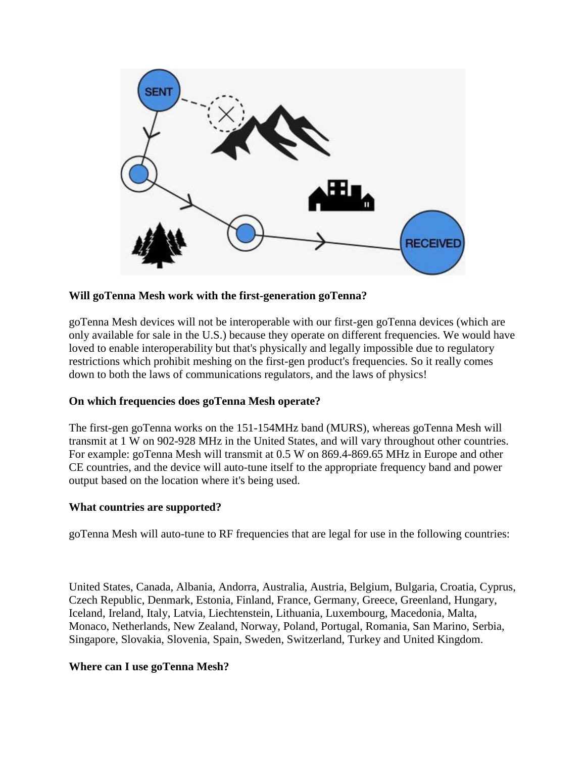

#### **Will goTenna Mesh work with the first-generation goTenna?**

goTenna Mesh devices will not be interoperable with our first-gen goTenna devices (which are only available for sale in the U.S.) because they operate on different frequencies. We would have loved to enable interoperability but that's physically and legally impossible due to regulatory restrictions which prohibit meshing on the first-gen product's frequencies. So it really comes down to both the laws of communications regulators, and the laws of physics!

#### **On which frequencies does goTenna Mesh operate?**

The first-gen goTenna works on the 151-154MHz band (MURS), whereas goTenna Mesh will transmit at 1 W on 902-928 MHz in the United States, and will vary throughout other countries. For example: goTenna Mesh will transmit at 0.5 W on 869.4-869.65 MHz in Europe and other CE countries, and the device will auto-tune itself to the appropriate frequency band and power output based on the location where it's being used.

#### **What countries are supported?**

goTenna Mesh will auto-tune to RF frequencies that are legal for use in the following countries:

United States, Canada, Albania, Andorra, Australia, Austria, Belgium, Bulgaria, Croatia, Cyprus, Czech Republic, Denmark, Estonia, Finland, France, Germany, Greece, Greenland, Hungary, Iceland, Ireland, Italy, Latvia, Liechtenstein, Lithuania, Luxembourg, Macedonia, Malta, Monaco, Netherlands, New Zealand, Norway, Poland, Portugal, Romania, San Marino, Serbia, Singapore, Slovakia, Slovenia, Spain, Sweden, Switzerland, Turkey and United Kingdom.

#### **Where can I use goTenna Mesh?**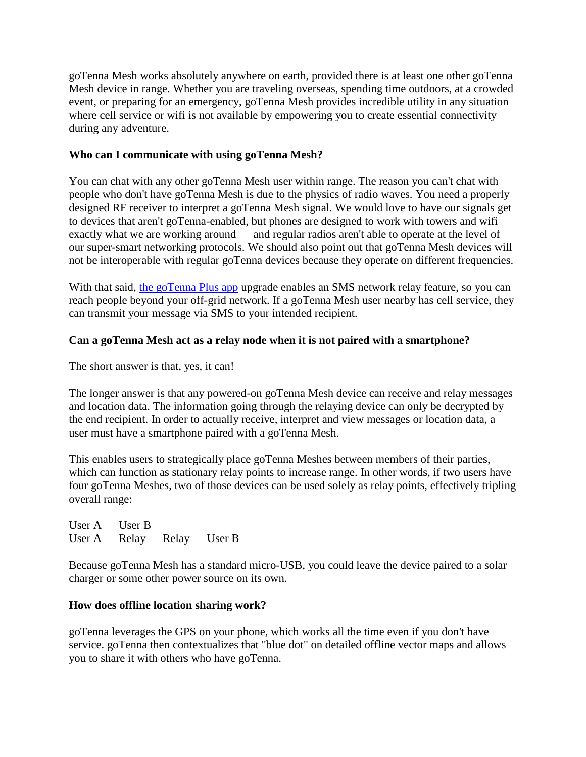goTenna Mesh works absolutely anywhere on earth, provided there is at least one other goTenna Mesh device in range. Whether you are traveling overseas, spending time outdoors, at a crowded event, or preparing for an emergency, goTenna Mesh provides incredible utility in any situation where cell service or wifi is not available by empowering you to create essential connectivity during any adventure.

#### **Who can I communicate with using goTenna Mesh?**

You can chat with any other goTenna Mesh user within range. The reason you can't chat with people who don't have goTenna Mesh is due to the physics of radio waves. You need a properly designed RF receiver to interpret a goTenna Mesh signal. We would love to have our signals get to devices that aren't goTenna-enabled, but phones are designed to work with towers and wifi exactly what we are working around — and regular radios aren't able to operate at the level of our super-smart networking protocols. We should also point out that goTenna Mesh devices will not be interoperable with regular goTenna devices because they operate on different frequencies.

With that said, [the goTenna Plus app](http://www.gotenna.com/pages/gotenna-plus) upgrade enables an SMS network relay feature, so you can reach people beyond your off-grid network. If a goTenna Mesh user nearby has cell service, they can transmit your message via SMS to your intended recipient.

#### **Can a goTenna Mesh act as a relay node when it is not paired with a smartphone?**

The short answer is that, yes, it can!

The longer answer is that any powered-on goTenna Mesh device can receive and relay messages and location data. The information going through the relaying device can only be decrypted by the end recipient. In order to actually receive, interpret and view messages or location data, a user must have a smartphone paired with a goTenna Mesh.

This enables users to strategically place goTenna Meshes between members of their parties, which can function as stationary relay points to increase range. In other words, if two users have four goTenna Meshes, two of those devices can be used solely as relay points, effectively tripling overall range:

User A — User B User A — Relay — Relay — User B

Because goTenna Mesh has a standard micro-USB, you could leave the device paired to a solar charger or some other power source on its own.

#### **How does offline location sharing work?**

goTenna leverages the GPS on your phone, which works all the time even if you don't have service. goTenna then contextualizes that "blue dot" on detailed offline vector maps and allows you to share it with others who have goTenna.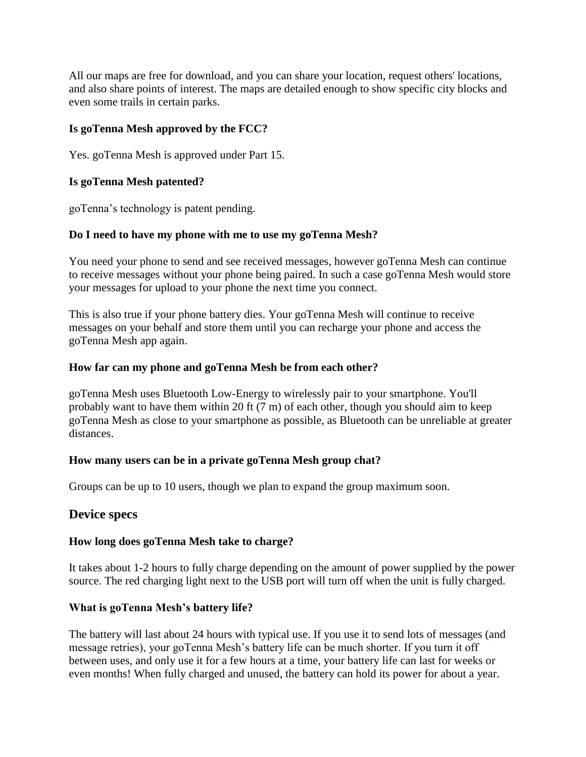All our maps are free for download, and you can share your location, request others' locations, and also share points of interest. The maps are detailed enough to show specific city blocks and even some trails in certain parks.

## **Is goTenna Mesh approved by the FCC?**

Yes. goTenna Mesh is approved under Part 15.

## **Is goTenna Mesh patented?**

goTenna's technology is patent pending.

## **Do I need to have my phone with me to use my goTenna Mesh?**

You need your phone to send and see received messages, however goTenna Mesh can continue to receive messages without your phone being paired. In such a case goTenna Mesh would store your messages for upload to your phone the next time you connect.

This is also true if your phone battery dies. Your goTenna Mesh will continue to receive messages on your behalf and store them until you can recharge your phone and access the goTenna Mesh app again.

## **How far can my phone and goTenna Mesh be from each other?**

goTenna Mesh uses Bluetooth Low-Energy to wirelessly pair to your smartphone. You'll probably want to have them within 20 ft (7 m) of each other, though you should aim to keep goTenna Mesh as close to your smartphone as possible, as Bluetooth can be unreliable at greater distances.

## **How many users can be in a private goTenna Mesh group chat?**

Groups can be up to 10 users, though we plan to expand the group maximum soon.

## **Device specs**

## **How long does goTenna Mesh take to charge?**

It takes about 1-2 hours to fully charge depending on the amount of power supplied by the power source. The red charging light next to the USB port will turn off when the unit is fully charged.

## **What is goTenna Mesh's battery life?**

The battery will last about 24 hours with typical use. If you use it to send lots of messages (and message retries), your goTenna Mesh's battery life can be much shorter. If you turn it off between uses, and only use it for a few hours at a time, your battery life can last for weeks or even months! When fully charged and unused, the battery can hold its power for about a year.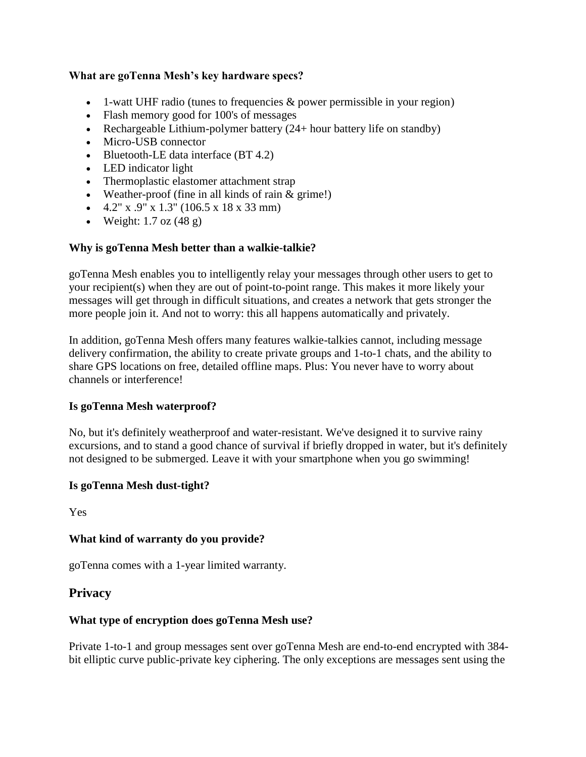#### **What are goTenna Mesh's key hardware specs?**

- $\bullet$  1-watt UHF radio (tunes to frequencies & power permissible in your region)
- Flash memory good for 100's of messages
- Rechargeable Lithium-polymer battery  $(24 + hour)$  battery life on standby)
- Micro-USB connector
- Bluetooth-LE data interface  $(BT 4.2)$
- LED indicator light
- Thermoplastic elastomer attachment strap
- Weather-proof (fine in all kinds of rain & grime!)
- $\bullet$  4.2" x .9" x 1.3" (106.5 x 18 x 33 mm)
- Weight:  $1.7$  oz  $(48 \text{ g})$

#### **Why is goTenna Mesh better than a walkie-talkie?**

goTenna Mesh enables you to intelligently relay your messages through other users to get to your recipient(s) when they are out of point-to-point range. This makes it more likely your messages will get through in difficult situations, and creates a network that gets stronger the more people join it. And not to worry: this all happens automatically and privately.

In addition, goTenna Mesh offers many features walkie-talkies cannot, including message delivery confirmation, the ability to create private groups and 1-to-1 chats, and the ability to share GPS locations on free, detailed offline maps. Plus: You never have to worry about channels or interference!

#### **Is goTenna Mesh waterproof?**

No, but it's definitely weatherproof and water-resistant. We've designed it to survive rainy excursions, and to stand a good chance of survival if briefly dropped in water, but it's definitely not designed to be submerged. Leave it with your smartphone when you go swimming!

#### **Is goTenna Mesh dust-tight?**

Yes

#### **What kind of warranty do you provide?**

goTenna comes with a 1-year limited warranty.

## **Privacy**

## **What type of encryption does goTenna Mesh use?**

Private 1-to-1 and group messages sent over goTenna Mesh are end-to-end encrypted with 384 bit elliptic curve public-private key ciphering. The only exceptions are messages sent using the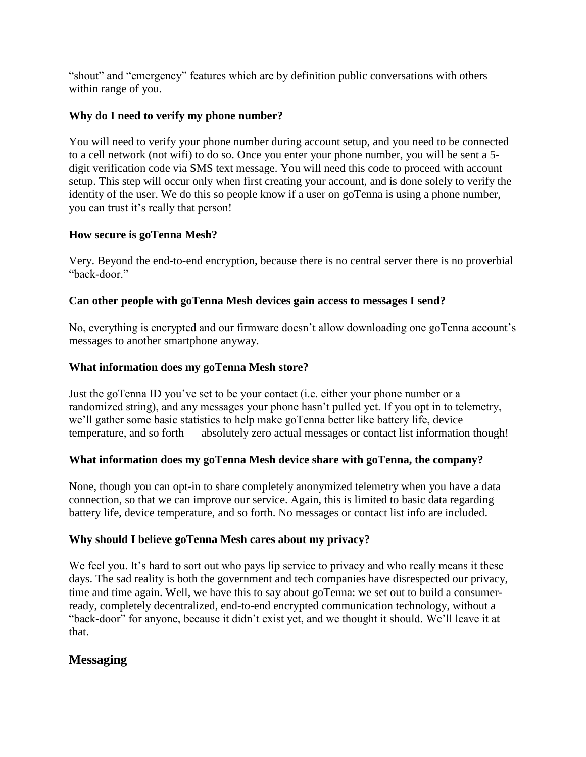"shout" and "emergency" features which are by definition public conversations with others within range of you.

## **Why do I need to verify my phone number?**

You will need to verify your phone number during account setup, and you need to be connected to a cell network (not wifi) to do so. Once you enter your phone number, you will be sent a 5 digit verification code via SMS text message. You will need this code to proceed with account setup. This step will occur only when first creating your account, and is done solely to verify the identity of the user. We do this so people know if a user on goTenna is using a phone number, you can trust it's really that person!

## **How secure is goTenna Mesh?**

Very. Beyond the end-to-end encryption, because there is no central server there is no proverbial "back-door."

## **Can other people with goTenna Mesh devices gain access to messages I send?**

No, everything is encrypted and our firmware doesn't allow downloading one goTenna account's messages to another smartphone anyway.

## **What information does my goTenna Mesh store?**

Just the goTenna ID you've set to be your contact (i.e. either your phone number or a randomized string), and any messages your phone hasn't pulled yet. If you opt in to telemetry, we'll gather some basic statistics to help make goTenna better like battery life, device temperature, and so forth — absolutely zero actual messages or contact list information though!

## **What information does my goTenna Mesh device share with goTenna, the company?**

None, though you can opt-in to share completely anonymized telemetry when you have a data connection, so that we can improve our service. Again, this is limited to basic data regarding battery life, device temperature, and so forth. No messages or contact list info are included.

## **Why should I believe goTenna Mesh cares about my privacy?**

We feel you. It's hard to sort out who pays lip service to privacy and who really means it these days. The sad reality is both the government and tech companies have disrespected our privacy, time and time again. Well, we have this to say about goTenna: we set out to build a consumerready, completely decentralized, end-to-end encrypted communication technology, without a "back-door" for anyone, because it didn't exist yet, and we thought it should. We'll leave it at that.

# **Messaging**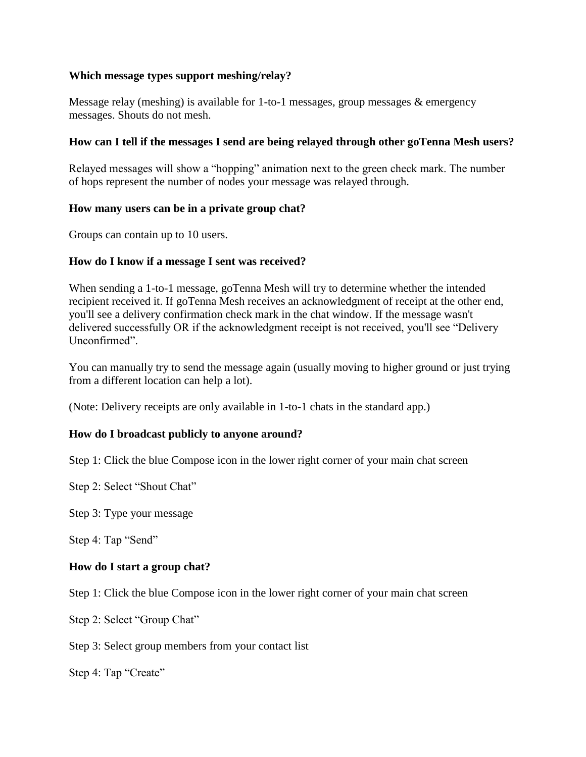#### **Which message types support meshing/relay?**

Message relay (meshing) is available for 1-to-1 messages, group messages & emergency messages. Shouts do not mesh.

#### **How can I tell if the messages I send are being relayed through other goTenna Mesh users?**

Relayed messages will show a "hopping" animation next to the green check mark. The number of hops represent the number of nodes your message was relayed through.

#### **How many users can be in a private group chat?**

Groups can contain up to 10 users.

#### **How do I know if a message I sent was received?**

When sending a 1-to-1 message, goTenna Mesh will try to determine whether the intended recipient received it. If goTenna Mesh receives an acknowledgment of receipt at the other end, you'll see a delivery confirmation check mark in the chat window. If the message wasn't delivered successfully OR if the acknowledgment receipt is not received, you'll see "Delivery Unconfirmed".

You can manually try to send the message again (usually moving to higher ground or just trying from a different location can help a lot).

(Note: Delivery receipts are only available in 1-to-1 chats in the standard app.)

## **How do I broadcast publicly to anyone around?**

Step 1: Click the blue Compose icon in the lower right corner of your main chat screen

Step 2: Select "Shout Chat"

Step 3: Type your message

Step 4: Tap "Send"

## **How do I start a group chat?**

Step 1: Click the blue Compose icon in the lower right corner of your main chat screen

Step 2: Select "Group Chat"

Step 3: Select group members from your contact list

Step 4: Tap "Create"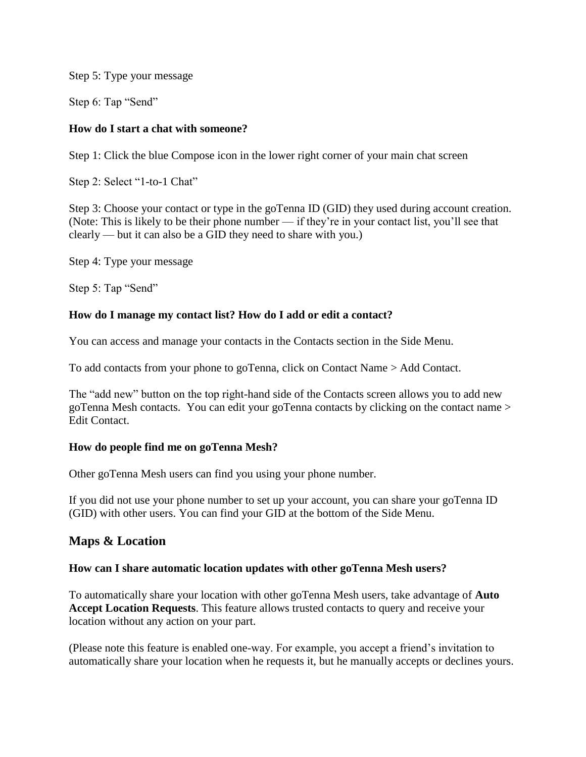Step 5: Type your message

Step 6: Tap "Send"

#### **How do I start a chat with someone?**

Step 1: Click the blue Compose icon in the lower right corner of your main chat screen

Step 2: Select "1-to-1 Chat"

Step 3: Choose your contact or type in the goTenna ID (GID) they used during account creation. (Note: This is likely to be their phone number — if they're in your contact list, you'll see that clearly — but it can also be a GID they need to share with you.)

Step 4: Type your message

Step 5: Tap "Send"

#### **How do I manage my contact list? How do I add or edit a contact?**

You can access and manage your contacts in the Contacts section in the Side Menu.

To add contacts from your phone to goTenna, click on Contact Name > Add Contact.

The "add new" button on the top right-hand side of the Contacts screen allows you to add new goTenna Mesh contacts. You can edit your goTenna contacts by clicking on the contact name > Edit Contact.

#### **How do people find me on goTenna Mesh?**

Other goTenna Mesh users can find you using your phone number.

If you did not use your phone number to set up your account, you can share your goTenna ID (GID) with other users. You can find your GID at the bottom of the Side Menu.

## **Maps & Location**

#### **How can I share automatic location updates with other goTenna Mesh users?**

To automatically share your location with other goTenna Mesh users, take advantage of **Auto Accept Location Requests**. This feature allows trusted contacts to query and receive your location without any action on your part.

(Please note this feature is enabled one-way. For example, you accept a friend's invitation to automatically share your location when he requests it, but he manually accepts or declines yours.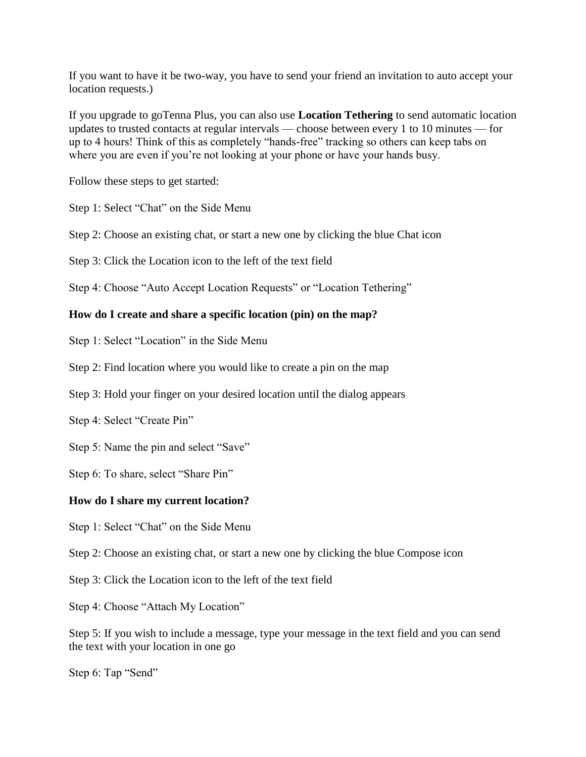If you want to have it be two-way, you have to send your friend an invitation to auto accept your location requests.)

If you upgrade to goTenna Plus, you can also use **Location Tethering** to send automatic location updates to trusted contacts at regular intervals — choose between every 1 to 10 minutes — for up to 4 hours! Think of this as completely "hands-free" tracking so others can keep tabs on where you are even if you're not looking at your phone or have your hands busy.

Follow these steps to get started:

Step 1: Select "Chat" on the Side Menu

Step 2: Choose an existing chat, or start a new one by clicking the blue Chat icon

Step 3: Click the Location icon to the left of the text field

Step 4: Choose "Auto Accept Location Requests" or "Location Tethering"

#### **How do I create and share a specific location (pin) on the map?**

Step 1: Select "Location" in the Side Menu

Step 2: Find location where you would like to create a pin on the map

Step 3: Hold your finger on your desired location until the dialog appears

Step 4: Select "Create Pin"

Step 5: Name the pin and select "Save"

Step 6: To share, select "Share Pin"

#### **How do I share my current location?**

Step 1: Select "Chat" on the Side Menu

Step 2: Choose an existing chat, or start a new one by clicking the blue Compose icon

Step 3: Click the Location icon to the left of the text field

Step 4: Choose "Attach My Location"

Step 5: If you wish to include a message, type your message in the text field and you can send the text with your location in one go

Step 6: Tap "Send"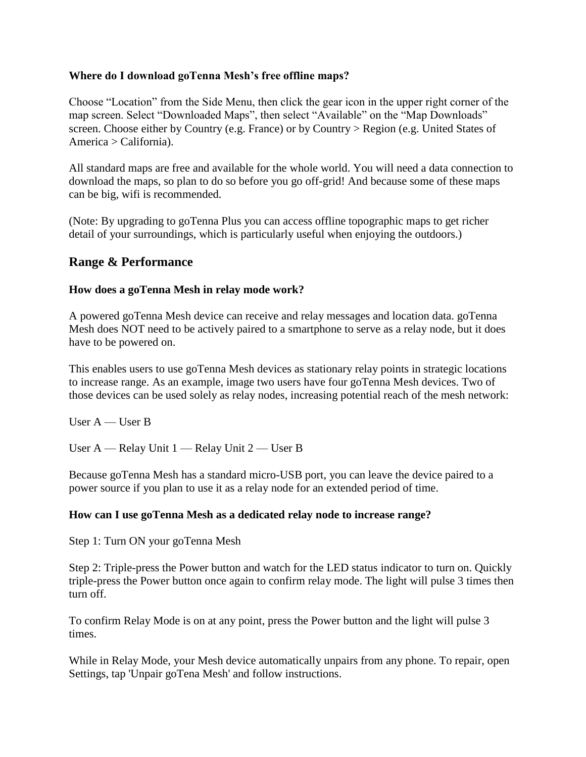#### **Where do I download goTenna Mesh's free offline maps?**

Choose "Location" from the Side Menu, then click the gear icon in the upper right corner of the map screen. Select "Downloaded Maps", then select "Available" on the "Map Downloads" screen. Choose either by Country (e.g. France) or by Country > Region (e.g. United States of America > California).

All standard maps are free and available for the whole world. You will need a data connection to download the maps, so plan to do so before you go off-grid! And because some of these maps can be big, wifi is recommended.

(Note: By upgrading to goTenna Plus you can access offline topographic maps to get richer detail of your surroundings, which is particularly useful when enjoying the outdoors.)

## **Range & Performance**

#### **How does a goTenna Mesh in relay mode work?**

A powered goTenna Mesh device can receive and relay messages and location data. goTenna Mesh does NOT need to be actively paired to a smartphone to serve as a relay node, but it does have to be powered on.

This enables users to use goTenna Mesh devices as stationary relay points in strategic locations to increase range. As an example, image two users have four goTenna Mesh devices. Two of those devices can be used solely as relay nodes, increasing potential reach of the mesh network:

User  $A$  — User B

User A — Relay Unit 1 — Relay Unit 2 — User B

Because goTenna Mesh has a standard micro-USB port, you can leave the device paired to a power source if you plan to use it as a relay node for an extended period of time.

#### **How can I use goTenna Mesh as a dedicated relay node to increase range?**

Step 1: Turn ON your goTenna Mesh

Step 2: Triple-press the Power button and watch for the LED status indicator to turn on. Quickly triple-press the Power button once again to confirm relay mode. The light will pulse 3 times then turn off.

To confirm Relay Mode is on at any point, press the Power button and the light will pulse 3 times.

While in Relay Mode, your Mesh device automatically unpairs from any phone. To repair, open Settings, tap 'Unpair goTena Mesh' and follow instructions.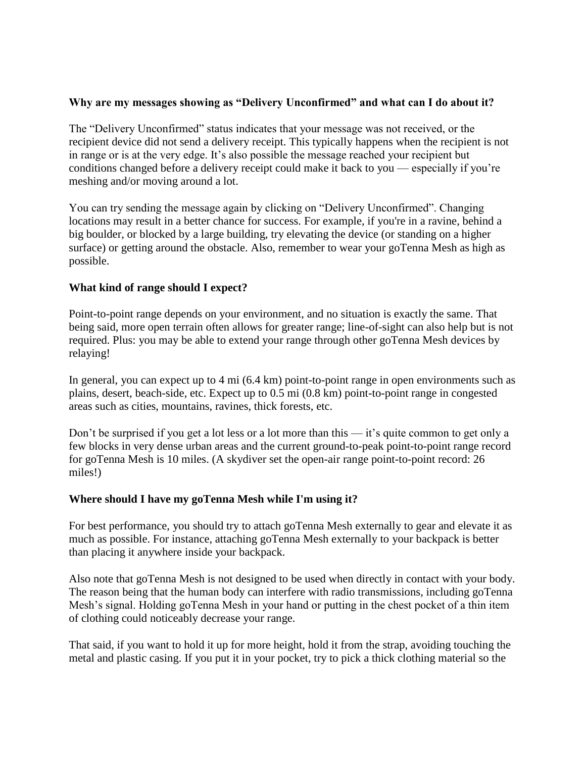#### **Why are my messages showing as "Delivery Unconfirmed" and what can I do about it?**

The "Delivery Unconfirmed" status indicates that your message was not received, or the recipient device did not send a delivery receipt. This typically happens when the recipient is not in range or is at the very edge. It's also possible the message reached your recipient but conditions changed before a delivery receipt could make it back to you — especially if you're meshing and/or moving around a lot.

You can try sending the message again by clicking on "Delivery Unconfirmed". Changing locations may result in a better chance for success. For example, if you're in a ravine, behind a big boulder, or blocked by a large building, try elevating the device (or standing on a higher surface) or getting around the obstacle. Also, remember to wear your goTenna Mesh as high as possible.

#### **What kind of range should I expect?**

Point-to-point range depends on your environment, and no situation is exactly the same. That being said, more open terrain often allows for greater range; line-of-sight can also help but is not required. Plus: you may be able to extend your range through other goTenna Mesh devices by relaying!

In general, you can expect up to 4 mi (6.4 km) point-to-point range in open environments such as plains, desert, beach-side, etc. Expect up to 0.5 mi (0.8 km) point-to-point range in congested areas such as cities, mountains, ravines, thick forests, etc.

Don't be surprised if you get a lot less or a lot more than this — it's quite common to get only a few blocks in very dense urban areas and the current ground-to-peak point-to-point range record for goTenna Mesh is 10 miles. (A skydiver set the open-air range point-to-point record: 26 miles!)

#### **Where should I have my goTenna Mesh while I'm using it?**

For best performance, you should try to attach goTenna Mesh externally to gear and elevate it as much as possible. For instance, attaching goTenna Mesh externally to your backpack is better than placing it anywhere inside your backpack.

Also note that goTenna Mesh is not designed to be used when directly in contact with your body. The reason being that the human body can interfere with radio transmissions, including goTenna Mesh's signal. Holding goTenna Mesh in your hand or putting in the chest pocket of a thin item of clothing could noticeably decrease your range.

That said, if you want to hold it up for more height, hold it from the strap, avoiding touching the metal and plastic casing. If you put it in your pocket, try to pick a thick clothing material so the